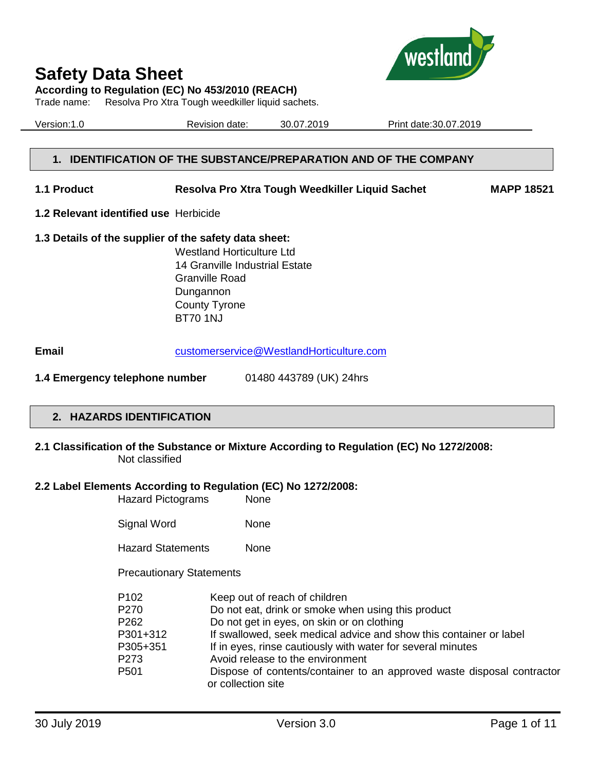

**According to Regulation (EC) No 453/2010 (REACH)**

Trade name: Resolva Pro Xtra Tough weedkiller liquid sachets.

Version:1.0 Revision date: 30.07.2019 Print date:30.07.2019

## **1. IDENTIFICATION OF THE SUBSTANCE/PREPARATION AND OF THE COMPANY**

**1.1 Product Resolva Pro Xtra Tough Weedkiller Liquid Sachet MAPP 18521**

**1.2 Relevant identified use** Herbicide

# **1.3 Details of the supplier of the safety data sheet:**

Westland Horticulture Ltd 14 Granville Industrial Estate Granville Road Dungannon County Tyrone BT70 1NJ

**Email** [customerservice@WestlandHorticulture.com](mailto:customerservice@WestlandHorticulture.com)

**1.4 Emergency telephone number** 01480 443789 (UK) 24hrs

# **2. HAZARDS IDENTIFICATION**

**2.1 Classification of the Substance or Mixture According to Regulation (EC) No 1272/2008:** Not classified

## **2.2 Label Elements According to Regulation (EC) No 1272/2008:**

| <b>Hazard Pictograms</b> | <b>None</b> |
|--------------------------|-------------|
|                          |             |

| None |
|------|
|      |

Hazard Statements None

Precautionary Statements

| P <sub>102</sub> | Keep out of reach of children                                          |
|------------------|------------------------------------------------------------------------|
| P270             | Do not eat, drink or smoke when using this product                     |
| P <sub>262</sub> | Do not get in eyes, on skin or on clothing                             |
| P301+312         | If swallowed, seek medical advice and show this container or label     |
| P305+351         | If in eyes, rinse cautiously with water for several minutes            |
| P273             | Avoid release to the environment                                       |
| P <sub>501</sub> | Dispose of contents/container to an approved waste disposal contractor |
|                  | or collection site                                                     |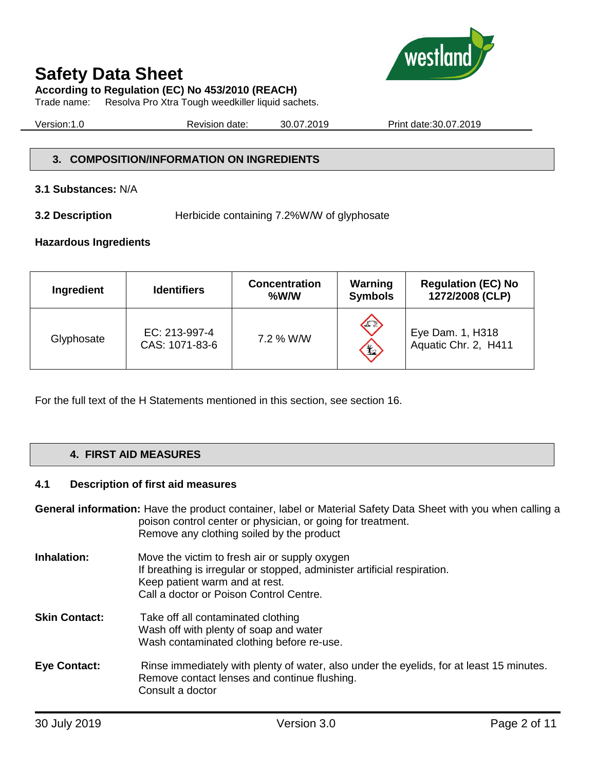



**According to Regulation (EC) No 453/2010 (REACH)**

Trade name: Resolva Pro Xtra Tough weedkiller liquid sachets.

Version:1.0 Revision date: 30.07.2019 Print date:30.07.2019

# **3. COMPOSITION/INFORMATION ON INGREDIENTS**

## **3.1 Substances:** N/A

**3.2 Description Herbicide containing 7.2%W/W of glyphosate** 

## **Hazardous Ingredients**

| Ingredient | <b>Identifiers</b>              | <b>Concentration</b><br>%W/W | Warning<br><b>Symbols</b> | <b>Regulation (EC) No</b><br>1272/2008 (CLP) |
|------------|---------------------------------|------------------------------|---------------------------|----------------------------------------------|
| Glyphosate | EC: 213-997-4<br>CAS: 1071-83-6 | 7.2 % W/W                    | E<br>\$                   | Eye Dam. 1, H318<br>Aquatic Chr. 2, H411     |

For the full text of the H Statements mentioned in this section, see section 16.

# **4. FIRST AID MEASURES**

## **4.1 Description of first aid measures**

**General information:** Have the product container, label or Material Safety Data Sheet with you when calling a poison control center or physician, or going for treatment. Remove any clothing soiled by the product

- **Inhalation:** Move the victim to fresh air or supply oxygen If breathing is irregular or stopped, administer artificial respiration. Keep patient warm and at rest. Call a doctor or Poison Control Centre.
- **Skin Contact:** Take off all contaminated clothing Wash off with plenty of soap and water Wash contaminated clothing before re-use.
- **Eye Contact:** Rinse immediately with plenty of water, also under the eyelids, for at least 15 minutes. Remove contact lenses and continue flushing. Consult a doctor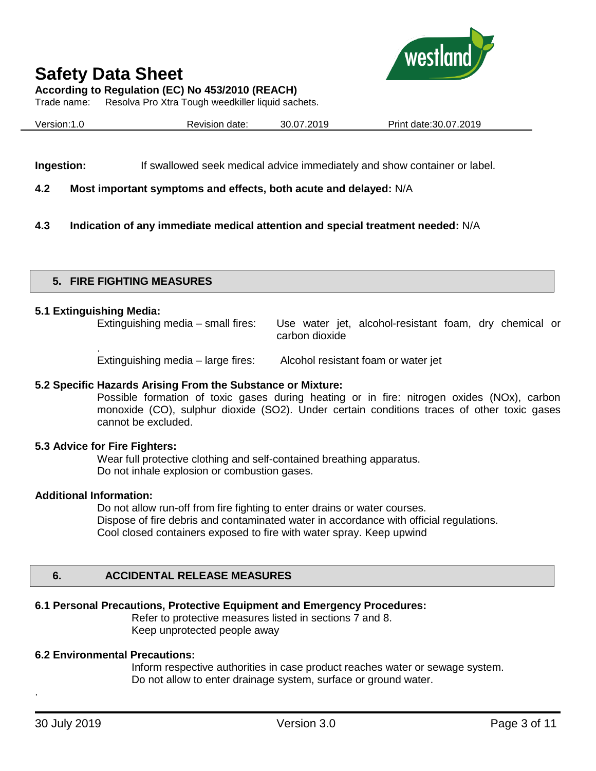



**According to Regulation (EC) No 453/2010 (REACH)**

Trade name: Resolva Pro Xtra Tough weedkiller liquid sachets.

|--|

**Ingestion:** If swallowed seek medical advice immediately and show container or label.

## **4.2 Most important symptoms and effects, both acute and delayed:** N/A

**4.3 Indication of any immediate medical attention and special treatment needed:** N/A

## **5. FIRE FIGHTING MEASURES**

#### **5.1 Extinguishing Media:**

.

Extinguishing media – small fires: Use water jet, alcohol-resistant foam, dry chemical or carbon dioxide

Extinguishing media – large fires: Alcohol resistant foam or water jet

## **5.2 Specific Hazards Arising From the Substance or Mixture:**

Possible formation of toxic gases during heating or in fire: nitrogen oxides (NOx), carbon monoxide (CO), sulphur dioxide (SO2). Under certain conditions traces of other toxic gases cannot be excluded.

## **5.3 Advice for Fire Fighters:**

Wear full protective clothing and self-contained breathing apparatus. Do not inhale explosion or combustion gases.

#### **Additional Information:**

Do not allow run-off from fire fighting to enter drains or water courses. Dispose of fire debris and contaminated water in accordance with official regulations. Cool closed containers exposed to fire with water spray. Keep upwind

## **6. ACCIDENTAL RELEASE MEASURES**

# **6.1 Personal Precautions, Protective Equipment and Emergency Procedures:**

Refer to protective measures listed in sections 7 and 8. Keep unprotected people away

# **6.2 Environmental Precautions:**

Inform respective authorities in case product reaches water or sewage system. Do not allow to enter drainage system, surface or ground water.

.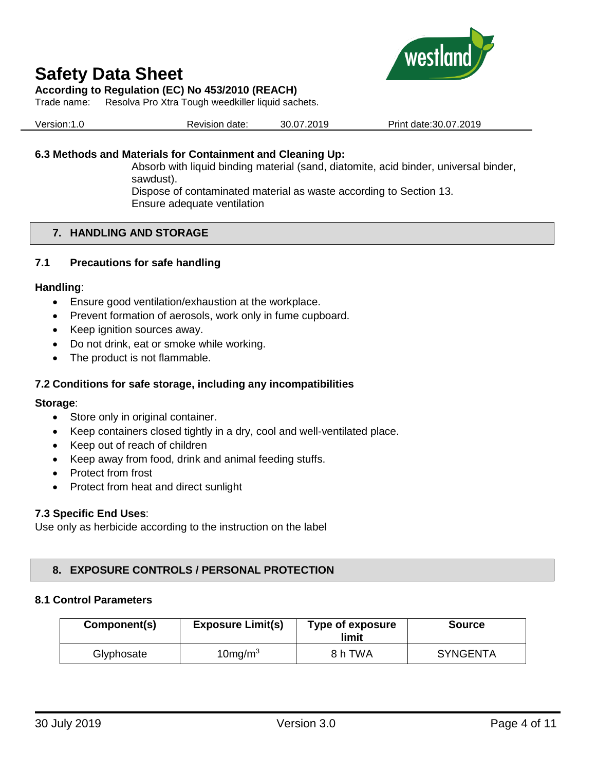

# **According to Regulation (EC) No 453/2010 (REACH)**

Trade name: Resolva Pro Xtra Tough weedkiller liquid sachets.

| Version:1.0 | Revision date: | 30.07.2019 | Print date: 30.07.2019 |
|-------------|----------------|------------|------------------------|
|             |                |            |                        |

## **6.3 Methods and Materials for Containment and Cleaning Up:**

Absorb with liquid binding material (sand, diatomite, acid binder, universal binder, sawdust). Dispose of contaminated material as waste according to Section 13.

Ensure adequate ventilation

## **7. HANDLING AND STORAGE**

## **7.1 Precautions for safe handling**

#### **Handling**:

- Ensure good ventilation/exhaustion at the workplace.
- Prevent formation of aerosols, work only in fume cupboard.
- Keep ignition sources away.
- Do not drink, eat or smoke while working.
- The product is not flammable.

## **7.2 Conditions for safe storage, including any incompatibilities**

#### **Storage**:

- Store only in original container.
- Keep containers closed tightly in a dry, cool and well-ventilated place.
- Keep out of reach of children
- Keep away from food, drink and animal feeding stuffs.
- Protect from frost
- Protect from heat and direct sunlight

#### **7.3 Specific End Uses**:

Use only as herbicide according to the instruction on the label

# **8. EXPOSURE CONTROLS / PERSONAL PROTECTION**

## **8.1 Control Parameters**

| Component(s) | <b>Exposure Limit(s)</b> | Type of exposure<br>limit | <b>Source</b>   |
|--------------|--------------------------|---------------------------|-----------------|
| Glyphosate   | $10$ mg/m $3$            | 8 h TWA                   | <b>SYNGENTA</b> |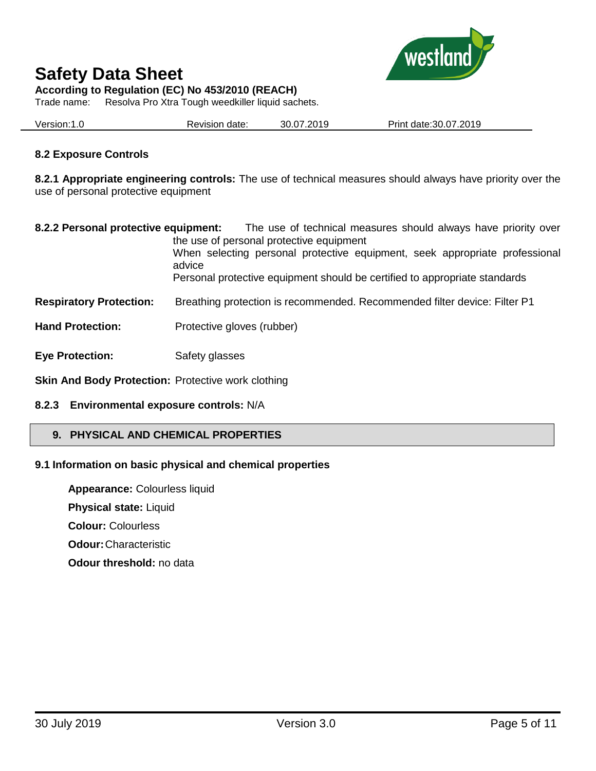

**According to Regulation (EC) No 453/2010 (REACH)**

Trade name: Resolva Pro Xtra Tough weedkiller liquid sachets.

Version:1.0 Revision date: 30.07.2019 Print date:30.07.2019

# **8.2 Exposure Controls**

**8.2.1 Appropriate engineering controls:** The use of technical measures should always have priority over the use of personal protective equipment

| 8.2.2 Personal protective equipment:                      | The use of technical measures should always have priority over<br>the use of personal protective equipment<br>When selecting personal protective equipment, seek appropriate professional<br>advice<br>Personal protective equipment should be certified to appropriate standards |
|-----------------------------------------------------------|-----------------------------------------------------------------------------------------------------------------------------------------------------------------------------------------------------------------------------------------------------------------------------------|
| <b>Respiratory Protection:</b>                            | Breathing protection is recommended. Recommended filter device: Filter P1                                                                                                                                                                                                         |
| <b>Hand Protection:</b>                                   | Protective gloves (rubber)                                                                                                                                                                                                                                                        |
| <b>Eye Protection:</b>                                    | Safety glasses                                                                                                                                                                                                                                                                    |
| <b>Skin And Body Protection: Protective work clothing</b> |                                                                                                                                                                                                                                                                                   |

# **8.2.3 Environmental exposure controls:** N/A

# **9. PHYSICAL AND CHEMICAL PROPERTIES**

# **9.1 Information on basic physical and chemical properties**

**Appearance:** Colourless liquid **Physical state:** Liquid **Colour:** Colourless

**Odour:**Characteristic

**Odour threshold:** no data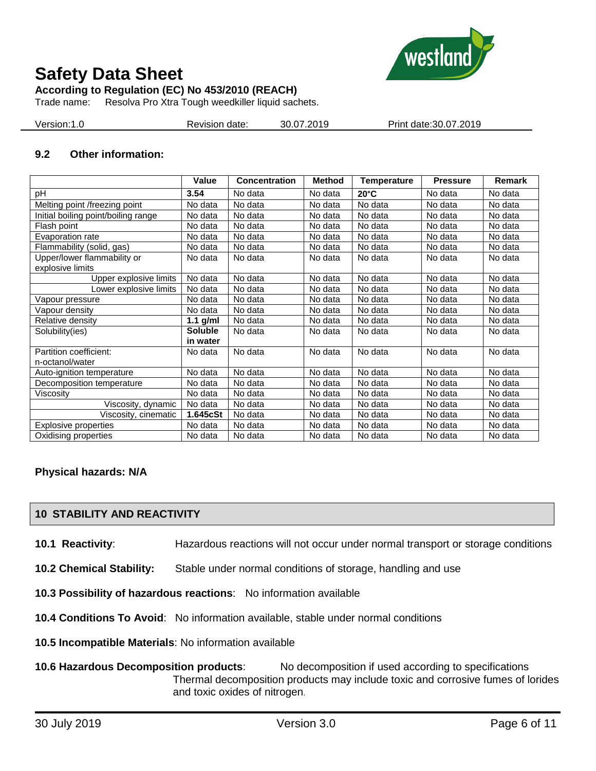

**According to Regulation (EC) No 453/2010 (REACH)**

Trade name: Resolva Pro Xtra Tough weedkiller liquid sachets.

| Version: 1.0<br>Revision date: | 30.07.2019 | Print date: 30.07.2019 |
|--------------------------------|------------|------------------------|
|--------------------------------|------------|------------------------|

# **9.2 Other information:**

|                                                 | Value          | <b>Concentration</b> | <b>Method</b> | <b>Temperature</b> | <b>Pressure</b> | Remark  |
|-------------------------------------------------|----------------|----------------------|---------------|--------------------|-----------------|---------|
| pH                                              | 3.54           | No data              | No data       | $20^{\circ}$ C     | No data         | No data |
| Melting point /freezing point                   | No data        | No data              | No data       | No data            | No data         | No data |
| Initial boiling point/boiling range             | No data        | No data              | No data       | No data            | No data         | No data |
| Flash point                                     | No data        | No data              | No data       | No data            | No data         | No data |
| Evaporation rate                                | No data        | No data              | No data       | No data            | No data         | No data |
| Flammability (solid, gas)                       | No data        | No data              | No data       | No data            | No data         | No data |
| Upper/lower flammability or<br>explosive limits | No data        | No data              | No data       | No data            | No data         | No data |
| Upper explosive limits                          | No data        | No data              | No data       | No data            | No data         | No data |
| Lower explosive limits                          | No data        | No data              | No data       | No data            | No data         | No data |
| Vapour pressure                                 | No data        | No data              | No data       | No data            | No data         | No data |
| Vapour density                                  | No data        | No data              | No data       | No data            | No data         | No data |
| Relative density                                | 1.1 $g/ml$     | No data              | No data       | No data            | No data         | No data |
| Solubility(ies)                                 | <b>Soluble</b> | No data              | No data       | No data            | No data         | No data |
|                                                 | in water       |                      |               |                    |                 |         |
| Partition coefficient:                          | No data        | No data              | No data       | No data            | No data         | No data |
| n-octanol/water                                 |                |                      |               |                    |                 |         |
| Auto-ignition temperature                       | No data        | No data              | No data       | No data            | No data         | No data |
| Decomposition temperature                       | No data        | No data              | No data       | No data            | No data         | No data |
| Viscosity                                       | No data        | No data              | No data       | No data            | No data         | No data |
| Viscosity, dynamic                              | No data        | No data              | No data       | No data            | No data         | No data |
| Viscosity, cinematic                            | 1.645cSt       | No data              | No data       | No data            | No data         | No data |
| Explosive properties                            | No data        | No data              | No data       | No data            | No data         | No data |
| Oxidising properties                            | No data        | No data              | No data       | No data            | No data         | No data |

## **Physical hazards: N/A**

# **10 STABILITY AND REACTIVITY**

- **10.1 Reactivity**: Hazardous reactions will not occur under normal transport or storage conditions
- **10.2 Chemical Stability:** Stable under normal conditions of storage, handling and use
- **10.3 Possibility of hazardous reactions**: No information available
- **10.4 Conditions To Avoid**: No information available, stable under normal conditions
- **10.5 Incompatible Materials**: No information available
- **10.6 Hazardous Decomposition products**: No decomposition if used according to specifications Thermal decomposition products may include toxic and corrosive fumes of lorides and toxic oxides of nitrogen.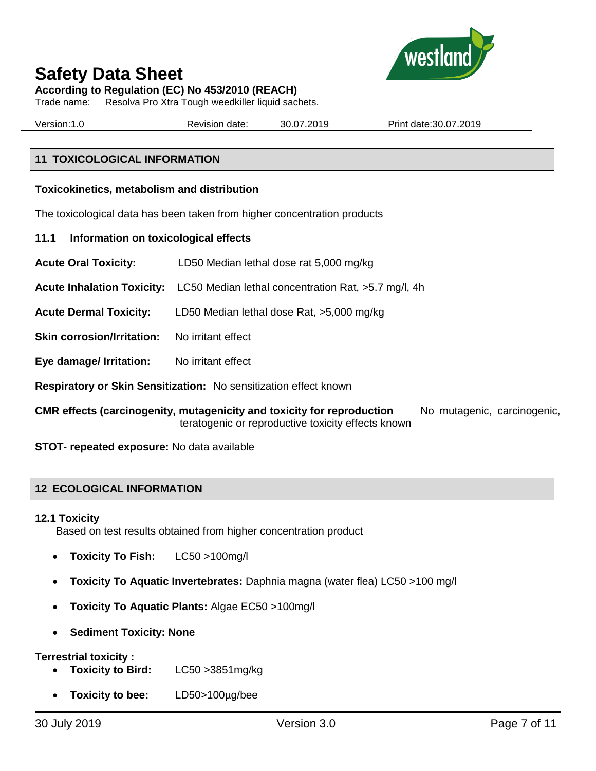

**According to Regulation (EC) No 453/2010 (REACH)**

Trade name: Resolva Pro Xtra Tough weedkiller liquid sachets.

Version:1.0 Revision date: 30.07.2019 Print date:30.07.2019

# **11 TOXICOLOGICAL INFORMATION**

## **Toxicokinetics, metabolism and distribution**

The toxicological data has been taken from higher concentration products

- **11.1 Information on toxicological effects**
- **Acute Oral Toxicity:** LD50 Median lethal dose rat 5,000 mg/kg
- **Acute Inhalation Toxicity:** LC50 Median lethal concentration Rat, >5.7 mg/l, 4h
- **Acute Dermal Toxicity:** LD50 Median lethal dose Rat, >5,000 mg/kg
- **Skin corrosion/Irritation:** No irritant effect
- **Eye damage/ Irritation:** No irritant effect
- **Respiratory or Skin Sensitization:** No sensitization effect known
- **CMR effects (carcinogenity, mutagenicity and toxicity for reproduction** No mutagenic, carcinogenic, teratogenic or reproductive toxicity effects known

**STOT- repeated exposure:** No data available

# **12 ECOLOGICAL INFORMATION**

## **12.1 Toxicity**

Based on test results obtained from higher concentration product

- **Toxicity To Fish:** LC50 >100mg/l
- **Toxicity To Aquatic Invertebrates:** Daphnia magna (water flea) LC50 >100 mg/l
- **Toxicity To Aquatic Plants:** Algae EC50 >100mg/l
- **Sediment Toxicity: None**

## **Terrestrial toxicity :**

- **Toxicity to Bird:** LC50 >3851mg/kg
- **Toxicity to bee:** LD50>100µg/bee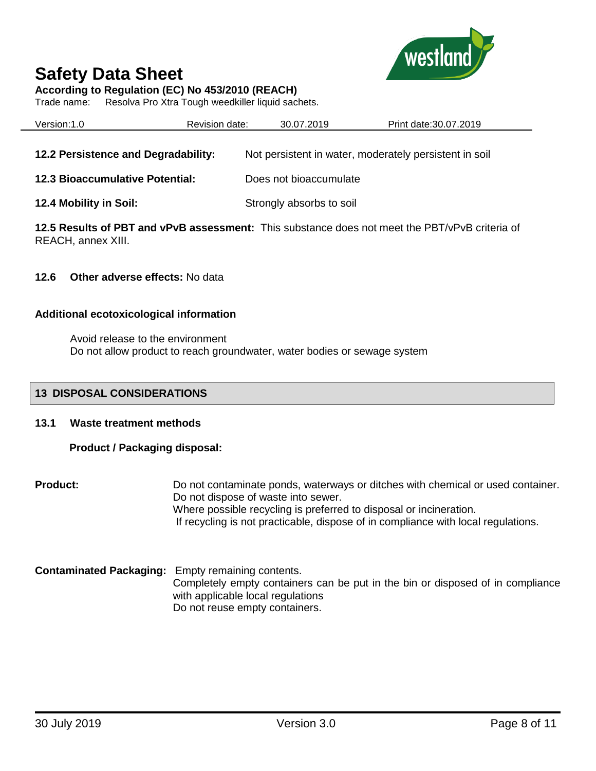

**According to Regulation (EC) No 453/2010 (REACH)**

Trade name: Resolva Pro Xtra Tough weedkiller liquid sachets.

| Version:1.0                            | Revision date: | 30.07.2019               | Print date: 30.07.2019                                                                         |
|----------------------------------------|----------------|--------------------------|------------------------------------------------------------------------------------------------|
|                                        |                |                          |                                                                                                |
| 12.2 Persistence and Degradability:    |                |                          | Not persistent in water, moderately persistent in soil                                         |
| <b>12.3 Bioaccumulative Potential:</b> |                | Does not bioaccumulate   |                                                                                                |
| 12.4 Mobility in Soil:                 |                | Strongly absorbs to soil |                                                                                                |
|                                        |                |                          | 12.5 Results of PBT and vPvB assessment: This substance does not meet the PBT/vPvB criteria of |

REACH, annex XIII.

## **12.6 Other adverse effects:** No data

## **Additional ecotoxicological information**

Avoid release to the environment Do not allow product to reach groundwater, water bodies or sewage system

## **13 DISPOSAL CONSIDERATIONS**

## **13.1 Waste treatment methods**

# **Product / Packaging disposal:**

**Product:** Do not contaminate ponds, waterways or ditches with chemical or used container. Do not dispose of waste into sewer. Where possible recycling is preferred to disposal or incineration. If recycling is not practicable, dispose of in compliance with local regulations.

**Contaminated Packaging:** Empty remaining contents. Completely empty containers can be put in the bin or disposed of in compliance with applicable local regulations Do not reuse empty containers.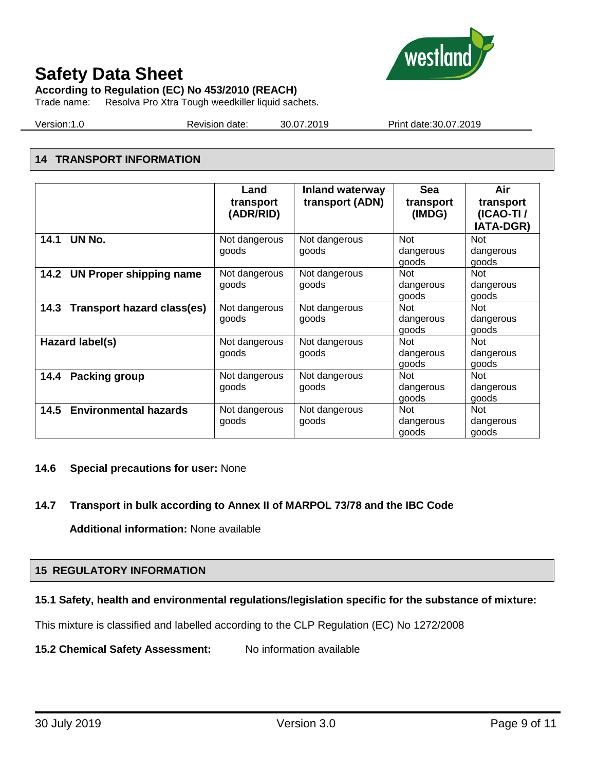

**According to Regulation (EC) No 453/2010 (REACH)**

Trade name: Resolva Pro Xtra Tough weedkiller liquid sachets.

Version:1.0 Revision date: 30.07.2019 Print date:30.07.2019

# **14 TRANSPORT INFORMATION**

|                                           | Land<br>transport<br>(ADR/RID) | <b>Inland waterway</b><br>transport (ADN) | <b>Sea</b><br>transport<br>(IMDG)         | Air<br>transport<br>(ICAO-TI /<br><b>IATA-DGR)</b> |
|-------------------------------------------|--------------------------------|-------------------------------------------|-------------------------------------------|----------------------------------------------------|
| UN No.<br>14.1                            | Not dangerous<br>goods         | Not dangerous<br>goods                    | <b>Not</b><br>dangerous                   | <b>Not</b><br>dangerous                            |
| 14.2 UN Proper shipping name              | Not dangerous<br>goods         | Not dangerous<br>goods                    | goods<br><b>Not</b><br>dangerous<br>goods | goods<br><b>Not</b><br>dangerous<br>goods          |
| <b>Transport hazard class(es)</b><br>14.3 | Not dangerous<br>goods         | Not dangerous<br>goods                    | <b>Not</b><br>dangerous<br>goods          | <b>Not</b><br>dangerous<br>goods                   |
| Hazard label(s)                           | Not dangerous<br>goods         | Not dangerous<br>goods                    | <b>Not</b><br>dangerous<br>goods          | <b>Not</b><br>dangerous<br>goods                   |
| <b>Packing group</b><br>14.4              | Not dangerous<br>goods         | Not dangerous<br>goods                    | <b>Not</b><br>dangerous<br>goods          | <b>Not</b><br>dangerous<br>goods                   |
| <b>Environmental hazards</b><br>14.5      | Not dangerous<br>goods         | Not dangerous<br>goods                    | <b>Not</b><br>dangerous<br>goods          | <b>Not</b><br>dangerous<br>goods                   |

# **14.6 Special precautions for user:** None

# **14.7 Transport in bulk according to Annex II of MARPOL 73/78 and the IBC Code**

**Additional information:** None available

# **15 REGULATORY INFORMATION**

# **15.1 Safety, health and environmental regulations/legislation specific for the substance of mixture:**

This mixture is classified and labelled according to the CLP Regulation (EC) No 1272/2008

**15.2 Chemical Safety Assessment:** No information available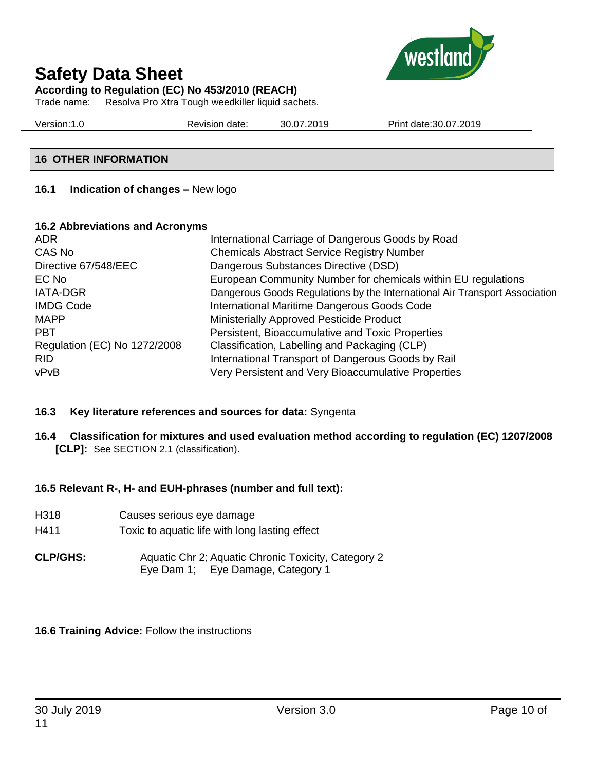

**According to Regulation (EC) No 453/2010 (REACH)**

Trade name: Resolva Pro Xtra Tough weedkiller liquid sachets.

Version:1.0 Revision date: 30.07.2019 Print date:30.07.2019

# **16 OTHER INFORMATION**

# **16.1 Indication of changes –** New logo

## **16.2 Abbreviations and Acronyms**

| ADR.                         | International Carriage of Dangerous Goods by Road                          |
|------------------------------|----------------------------------------------------------------------------|
| CAS No                       | <b>Chemicals Abstract Service Registry Number</b>                          |
| Directive 67/548/EEC         | Dangerous Substances Directive (DSD)                                       |
| EC No                        | European Community Number for chemicals within EU regulations              |
| <b>IATA-DGR</b>              | Dangerous Goods Regulations by the International Air Transport Association |
| <b>IMDG Code</b>             | International Maritime Dangerous Goods Code                                |
| <b>MAPP</b>                  | Ministerially Approved Pesticide Product                                   |
| <b>PBT</b>                   | Persistent, Bioaccumulative and Toxic Properties                           |
| Regulation (EC) No 1272/2008 | Classification, Labelling and Packaging (CLP)                              |
| <b>RID</b>                   | International Transport of Dangerous Goods by Rail                         |
| vPvB                         | Very Persistent and Very Bioaccumulative Properties                        |

# **16.3 Key literature references and sources for data:** Syngenta

**16.4 Classification for mixtures and used evaluation method according to regulation (EC) 1207/2008 [CLP]:** See SECTION 2.1 (classification).

# **16.5 Relevant R-, H- and EUH-phrases (number and full text):**

| H318            | Causes serious eye damage                                                                |
|-----------------|------------------------------------------------------------------------------------------|
| H411            | Toxic to aquatic life with long lasting effect                                           |
| <b>CLP/GHS:</b> | Aquatic Chr 2; Aquatic Chronic Toxicity, Category 2<br>Eye Dam 1; Eye Damage, Category 1 |

# **16.6 Training Advice:** Follow the instructions